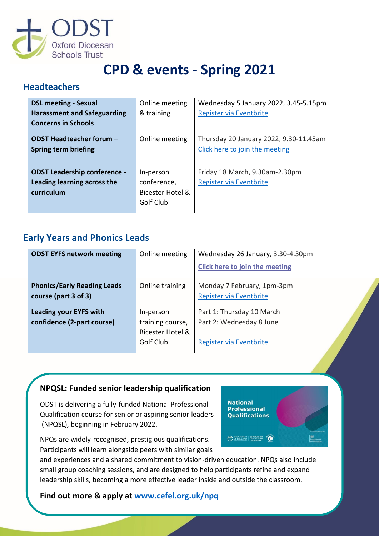

# **CPD & events - Spring 2021**

### **Headteachers**

| <b>DSL meeting - Sexual</b>         | Online meeting   | Wednesday 5 January 2022, 3.45-5.15pm  |
|-------------------------------------|------------------|----------------------------------------|
| <b>Harassment and Safeguarding</b>  | & training       | Register via Eventbrite                |
| <b>Concerns in Schools</b>          |                  |                                        |
| ODST Headteacher forum -            | Online meeting   | Thursday 20 January 2022, 9.30-11.45am |
| Spring term briefing                |                  | Click here to join the meeting         |
|                                     |                  |                                        |
| <b>ODST Leadership conference -</b> | In-person        | Friday 18 March, 9.30am-2.30pm         |
| Leading learning across the         | conference,      | Register via Eventbrite                |
| curriculum                          | Bicester Hotel & |                                        |
|                                     | Golf Club        |                                        |
|                                     |                  |                                        |

### **Early Years and Phonics Leads**

| <b>ODST EYFS network meeting</b>   | Online meeting   | Wednesday 26 January, 3.30-4.30pm |  |
|------------------------------------|------------------|-----------------------------------|--|
|                                    |                  | Click here to join the meeting    |  |
|                                    |                  |                                   |  |
| <b>Phonics/Early Reading Leads</b> | Online training  | Monday 7 February, 1pm-3pm        |  |
| course (part 3 of 3)               |                  | Register via Eventbrite           |  |
|                                    |                  |                                   |  |
| <b>Leading your EYFS with</b>      | In-person        | Part 1: Thursday 10 March         |  |
| confidence (2-part course)         | training course, | Part 2: Wednesday 8 June          |  |
|                                    | Bicester Hotel & |                                   |  |
|                                    | Golf Club        | Register via Eventbrite           |  |

#### **NPQSL: Funded senior leadership qualification**

ODST is delivering a fully-funded National Professional Qualification course for senior or aspiring senior leaders (NPQSL), beginning in February 2022.



and experiences and a shared commitment to vision-driven education. NPQs also include small group coaching sessions, and are designed to help participants refine and expand leadership skills, becoming a more effective leader inside and outside the classroom.

**Find out more & apply at<www.cefel.org.uk/npq>**

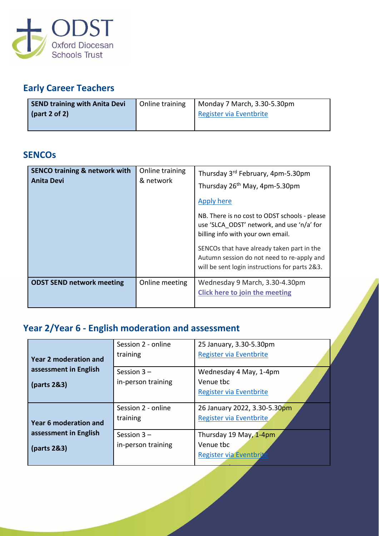

### **Early Career Teachers**

| <b>SEND training with Anita Devi</b> | Online training | Monday 7 March, 3.30-5.30pm |
|--------------------------------------|-----------------|-----------------------------|
| $\frac{1}{2}$ (part 2 of 2)          |                 | Register via Eventbrite     |
|                                      |                 |                             |

### **SENCOs**

| <b>SENCO training &amp; network with</b><br><b>Anita Devi</b> | Online training<br>& network | Thursday 3 <sup>rd</sup> February, 4pm-5.30pm<br>Thursday 26 <sup>th</sup> May, 4pm-5.30pm<br><b>Apply here</b><br>NB. There is no cost to ODST schools - please<br>use 'SLCA ODST' network, and use 'n/a' for<br>billing info with your own email.<br>SENCOs that have already taken part in the<br>Autumn session do not need to re-apply and<br>will be sent login instructions for parts 2&3. |
|---------------------------------------------------------------|------------------------------|---------------------------------------------------------------------------------------------------------------------------------------------------------------------------------------------------------------------------------------------------------------------------------------------------------------------------------------------------------------------------------------------------|
| <b>ODST SEND network meeting</b>                              | Online meeting               | Wednesday 9 March, 3.30-4.30pm<br><b>Click here to join the meeting</b>                                                                                                                                                                                                                                                                                                                           |

# **Year 2/Year 6 - English moderation and assessment**

|                              | Session 2 - online | 25 January, 3.30-5.30pm      |
|------------------------------|--------------------|------------------------------|
| <b>Year 2 moderation and</b> | training           | Register via Eventbrite      |
| assessment in English        | Session $3 -$      |                              |
|                              |                    | Wednesday 4 May, 1-4pm       |
| (parts 2&3)                  | in-person training | Venue tbc                    |
|                              |                    | Register via Eventbrite      |
|                              | Session 2 - online | 26 January 2022, 3.30-5.30pm |
| <b>Year 6 moderation and</b> | training           | Register via Eventbrite      |
|                              |                    |                              |
| assessment in English        | Session $3 -$      | Thursday 19 May, 1-4pm       |
| (parts 2&3)                  | in-person training | Venue tbc                    |
|                              |                    | Register via Eventbri        |